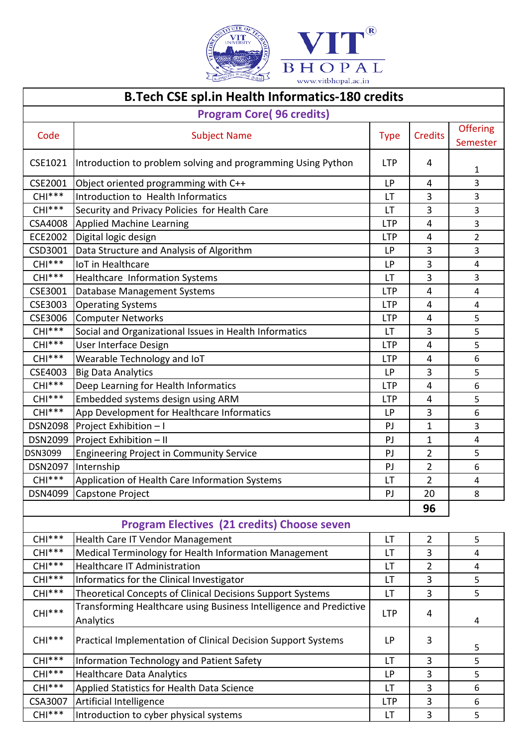

## **B.Tech CSE spl.in Health Informatics-180 credits**

| <b>Program Core(96 credits)</b>                    |                                                              |             |                |                             |
|----------------------------------------------------|--------------------------------------------------------------|-------------|----------------|-----------------------------|
| Code                                               | <b>Subject Name</b>                                          | <b>Type</b> | <b>Credits</b> | <b>Offering</b><br>Semester |
| CSE1021                                            | Introduction to problem solving and programming Using Python | <b>LTP</b>  | 4              | 1                           |
| CSE2001                                            | Object oriented programming with C++                         | LP          | 4              | 3                           |
| $CHI***$                                           | Introduction to Health Informatics                           | LT          | 3              | 3                           |
| $CHI***$                                           | Security and Privacy Policies for Health Care                | LT          | 3              | 3                           |
| CSA4008                                            | <b>Applied Machine Learning</b>                              | <b>LTP</b>  | 4              | 3                           |
| ECE2002                                            | Digital logic design                                         | <b>LTP</b>  | 4              | $\overline{2}$              |
| CSD3001                                            | Data Structure and Analysis of Algorithm                     | LP          | 3              | 3                           |
| $CHI***$                                           | <b>IoT</b> in Healthcare                                     | LP          | 3              | 4                           |
| $CHI***$                                           | Healthcare Information Systems                               | LT          | 3              | 3                           |
| CSE3001                                            | Database Management Systems                                  | <b>LTP</b>  | 4              | 4                           |
| CSE3003                                            | <b>Operating Systems</b>                                     | <b>LTP</b>  | 4              | $\overline{4}$              |
| CSE3006                                            | <b>Computer Networks</b>                                     | <b>LTP</b>  | 4              | 5                           |
| $CHI***$                                           | Social and Organizational Issues in Health Informatics       | LT          | 3              | 5                           |
| $CHI***$                                           | User Interface Design                                        | <b>LTP</b>  | 4              | 5                           |
| $CHI***$                                           | Wearable Technology and IoT                                  | <b>LTP</b>  | 4              | 6                           |
| CSE4003                                            | <b>Big Data Analytics</b>                                    | <b>LP</b>   | 3              | 5                           |
| $CHI***$                                           | Deep Learning for Health Informatics                         | <b>LTP</b>  | 4              | $\boldsymbol{6}$            |
| $CHI***$                                           | Embedded systems design using ARM                            | <b>LTP</b>  | 4              | 5                           |
| $CHI***$                                           | App Development for Healthcare Informatics                   | LP          | 3              | 6                           |
| <b>DSN2098</b>                                     | Project Exhibition - I                                       | PJ          | $\mathbf{1}$   | 3                           |
| <b>DSN2099</b>                                     | Project Exhibition - II                                      | PJ          | 1              | $\overline{4}$              |
| DSN3099                                            | <b>Engineering Project in Community Service</b>              | PJ          | $\overline{2}$ | 5                           |
| <b>DSN2097</b>                                     | Internship                                                   | PJ          | $\overline{2}$ | $\boldsymbol{6}$            |
| $CHI***$                                           | Application of Health Care Information Systems               | LT          | $\overline{2}$ | 4                           |
| DSN4099                                            | <b>Capstone Project</b>                                      | PJ          | 20             | 8                           |
|                                                    |                                                              |             | 96             |                             |
| <b>Program Electives (21 credits) Choose seven</b> |                                                              |             |                |                             |
| $CHI***$                                           | Health Care IT Vendor Management                             | LT          | $\overline{2}$ | 5                           |
| $CHI***$                                           | Medical Terminology for Health Information Management        | LT.         | 3              | 4                           |
| $CHI***$                                           | <b>Healthcare IT Administration</b>                          | LT          | $\overline{2}$ | 4                           |
| $CHI***$                                           | Informatics for the Clinical Investigator                    | LT.         | 3              | 5                           |
| CHI***                                             | Theoretical Concepts of Clinical Decisions Support Systems   | LT          | 3              | 5                           |
|                                                    |                                                              |             |                |                             |

| $CHI***$       | Theoretical Concepts of Clinical Decisions Support Systems                      | LT         | 3 |   |
|----------------|---------------------------------------------------------------------------------|------------|---|---|
| $CHI***$       | Transforming Healthcare using Business Intelligence and Predictive<br>Analytics | <b>LTP</b> | 4 | 4 |
| $CHI***$       | Practical Implementation of Clinical Decision Support Systems                   | LP         | 3 |   |
| $CHI***$       | Information Technology and Patient Safety                                       | LT         | 3 |   |
| $CHI***$       | Healthcare Data Analytics                                                       | ΙP         | 3 |   |
| $CHI***$       | Applied Statistics for Health Data Science                                      | LT         | 3 | 6 |
| <b>CSA3007</b> | Artificial Intelligence                                                         | LTP        | 3 | 6 |
| $CHI***$       | Introduction to cyber physical systems                                          | LT         | ς |   |